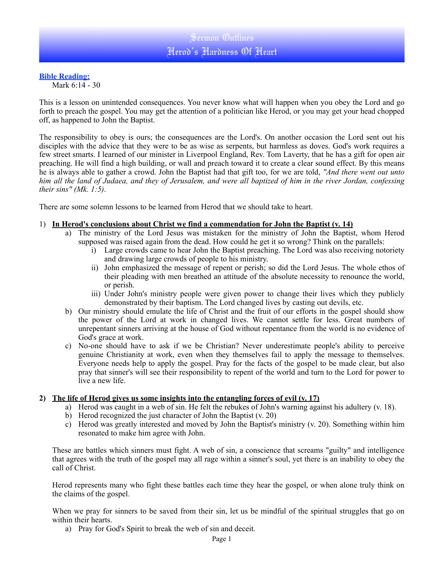## **Bible Reading:**

Mark 6:14 - 30

This is a lesson on unintended consequences. You never know what will happen when you obey the Lord and go forth to preach the gospel. You may get the attention of a politician like Herod, or you may get your head chopped off, as happened to John the Baptist.

The responsibility to obey is ours; the consequences are the Lord's. On another occasion the Lord sent out his disciples with the advice that they were to be as wise as serpents, but harmless as doves. God's work requires a few street smarts. I learned of our minister in Liverpool England, Rev. Tom Laverty, that he has a gift for open air preaching. He will find a high building, or wall and preach toward it to create a clear sound effect. By this means he is always able to gather a crowd. John the Baptist had that gift too, for we are told, *"And there went out unto him all the land of Judaea, and they of Jerusalem, and were all baptized of him in the river Jordan, confessing their sins" (Mk. 1:5)*.

There are some solemn lessons to be learned from Herod that we should take to heart.

#### 1) **In Herod's conclusions about Christ we find a commendation for John the Baptist (v. 14)**

- a) The ministry of the Lord Jesus was mistaken for the ministry of John the Baptist, whom Herod supposed was raised again from the dead. How could he get it so wrong? Think on the parallels:
	- i) Large crowds came to hear John the Baptist preaching. The Lord was also receiving notoriety and drawing large crowds of people to his ministry.
	- ii) John emphasized the message of repent or perish; so did the Lord Jesus. The whole ethos of their pleading with men breathed an attitude of the absolute necessity to renounce the world, or perish.
	- iii) Under John's ministry people were given power to change their lives which they publicly demonstrated by their baptism. The Lord changed lives by casting out devils, etc.
- b) Our ministry should emulate the life of Christ and the fruit of our efforts in the gospel should show the power of the Lord at work in changed lives. We cannot settle for less. Great numbers of unrepentant sinners arriving at the house of God without repentance from the world is no evidence of God's grace at work.
- c) No-one should have to ask if we be Christian? Never underestimate people's ability to perceive genuine Christianity at work, even when they themselves fail to apply the message to themselves. Everyone needs help to apply the gospel. Pray for the facts of the gospel to be made clear, but also pray that sinner's will see their responsibility to repent of the world and turn to the Lord for power to live a new life.

#### **2) The life of Herod gives us some insights into the entangling forces of evil (v. 17)**

- a) Herod was caught in a web of sin. He felt the rebukes of John's warning against his adultery (v. 18).
- b) Herod recognized the just character of John the Baptist (v. 20)
- c) Herod was greatly interested and moved by John the Baptist's ministry (v. 20). Something within him resonated to make him agree with John.

These are battles which sinners must fight. A web of sin, a conscience that screams "guilty" and intelligence that agrees with the truth of the gospel may all rage within a sinner's soul, yet there is an inability to obey the call of Christ.

Herod represents many who fight these battles each time they hear the gospel, or when alone truly think on the claims of the gospel.

When we pray for sinners to be saved from their sin, let us be mindful of the spiritual struggles that go on within their hearts.

a) Pray for God's Spirit to break the web of sin and deceit.